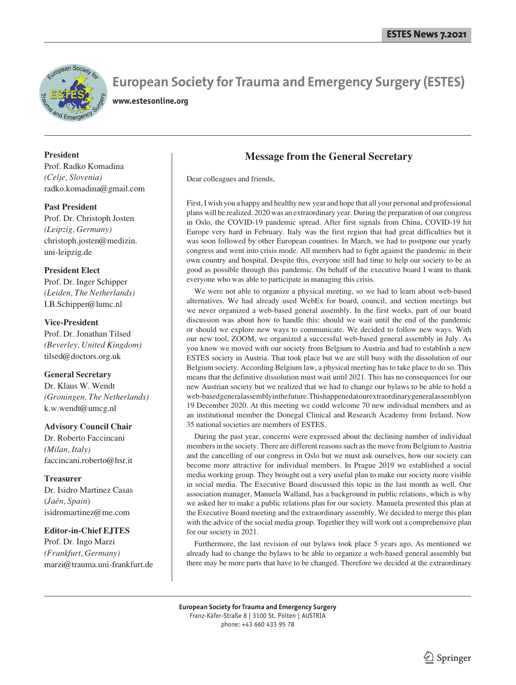

# **European Society for Trauma and Emergency Surgery (ESTES)**

**www.estesonline.org**

**President** Prof. Radko Komadina *(Celje, Slovenia)* radko.komadina@gmail.com

**Past President** Prof. Dr. Christoph Josten *(Leipzig, Germany)* christoph.josten@medizin. uni-leipzig.de

#### **President Elect**

Prof. Dr. Inger Schipper *(Leiden, The Netherlands)* I.B.Schipper@lumc.nl

#### **Vice-President**

Prof. Dr. Jonathan Tilsed *(Beverley, United Kingdom)* tilsed@doctors.org.uk

#### **General Secretary**

Dr. Klaus W. Wendt *(Groningen, The Netherlands)* k.w.wendt@umcg.nl

#### **Advisory Council Chair**

Dr. Roberto Faccincani *(Milan, Italy)* faccincani.roberto@hsr.it

#### **Treasurer**

Dr. Isidro Martinez Casas (*Jaén, Spain*) isidromartinez@me.com

#### **Editor-in-Chief EJTES**

Prof. Dr. Ingo Marzi *(Frankfurt, Germany)* marzi@trauma.uni-frankfurt.de

### **Message from the General Secretary**

Dear colleagues and friends,

First, I wish you a happy and healthy new year and hope that all your personal and professional plans will be realized. 2020 was an extraordinary year. During the preparation of our congress in Oslo, the COVID-19 pandemic spread. After first signals from China, COVID-19 hit Europe very hard in February. Italy was the first region that had great difficulties but it was soon followed by other European countries. In March, we had to postpone our yearly congress and went into crisis mode. All members had to fight against the pandemic in their own country and hospital. Despite this, everyone still had time to help our society to be as good as possible through this pandemic. On behalf of the executive board I want to thank everyone who was able to participate in managing this crisis.

 We were not able to organize a physical meeting, so we had to learn about web-based alternatives. We had already used WebEx for board, council, and section meetings but we never organized a web-based general assembly. In the first weeks, part of our board discussion was about how to handle this: should we wait until the end of the pandemic or should we explore new ways to communicate. We decided to follow new ways. With our new tool, ZOOM, we organized a successful web-based general assembly in July. As you know we moved with our society from Belgium to Austria and had to establish a new ESTES society in Austria. That took place but we are still busy with the dissolution of our Belgium society. According Belgium law, a physical meeting has to take place to do so. This means that the definitive dissolution must wait until 2021. This has no consequences for our new Austrian society but we realized that we had to change our bylaws to be able to hold a web-based general assembly in the future. This happened at our extraordinary general assembly on 19 December 2020. At this meeting we could welcome 70 new individual members and as an institutional member the Donegal Clinical and Research Academy from Ireland. Now 35 national societies are members of ESTES.

 During the past year, concerns were expressed about the declining number of individual members in the society. There are different reasons such as the move from Belgium to Austria and the cancelling of our congress in Oslo but we must ask ourselves, how our society can become more attractive for individual members. In Prague 2019 we established a social media working group. They brought out a very useful plan to make our society more visible in social media. The Executive Board discussed this topic in the last month as well. Our association manager, Manuela Walland, has a background in public relations, which is why we asked her to make a public relations plan for our society. Manuela presented this plan at the Executive Board meeting and the extraordinary assembly. We decided to merge this plan with the advice of the social media group. Together they will work out a comprehensive plan for our society in 2021.

 Furthermore, the last revision of our bylaws took place 5 years ago. As mentioned we already had to change the bylaws to be able to organize a web-based general assembly but there may be more parts that have to be changed. Therefore we decided at the extraordinary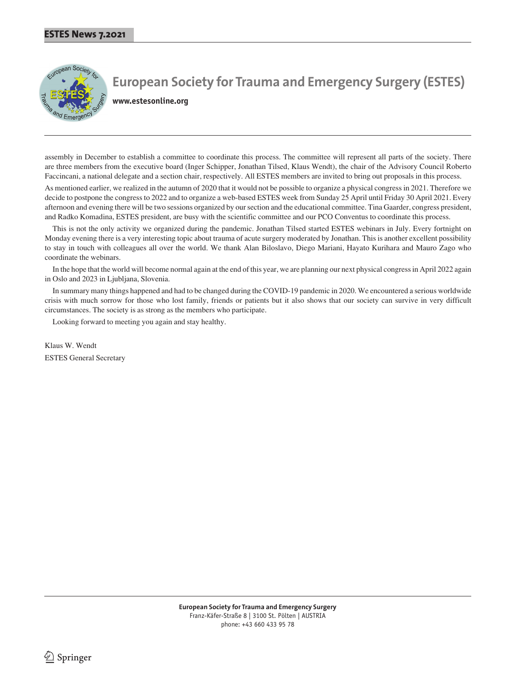

**European Society for Trauma and Emergency Surgery (ESTES)**

**www.estesonline.org**

assembly in December to establish a committee to coordinate this process. The committee will represent all parts of the society. There are three members from the executive board (Inger Schipper, Jonathan Tilsed, Klaus Wendt), the chair of the Advisory Council Roberto Faccincani, a national delegate and a section chair, respectively. All ESTES members are invited to bring out proposals in this process.

As mentioned earlier, we realized in the autumn of 2020 that it would not be possible to organize a physical congress in 2021. Therefore we decide to postpone the congress to 2022 and to organize a web-based ESTES week from Sunday 25 April until Friday 30 April 2021. Every afternoon and evening there will be two sessions organized by our section and the educational committee. Tina Gaarder, congress president, and Radko Komadina, ESTES president, are busy with the scientific committee and our PCO Conventus to coordinate this process.

 This is not the only activity we organized during the pandemic. Jonathan Tilsed started ESTES webinars in July. Every fortnight on Monday evening there is a very interesting topic about trauma of acute surgery moderated by Jonathan. This is another excellent possibility to stay in touch with colleagues all over the world. We thank Alan Biloslavo, Diego Mariani, Hayato Kurihara and Mauro Zago who coordinate the webinars.

 In the hope that the world will become normal again at the end of this year, we are planning our next physical congress in April 2022 again in Oslo and 2023 in Ljubljana, Slovenia.

 In summary many things happened and had to be changed during the COVID-19 pandemic in 2020. We encountered a serious worldwide crisis with much sorrow for those who lost family, friends or patients but it also shows that our society can survive in very difficult circumstances. The society is as strong as the members who participate.

Looking forward to meeting you again and stay healthy.

Klaus W. Wendt ESTES General Secretary